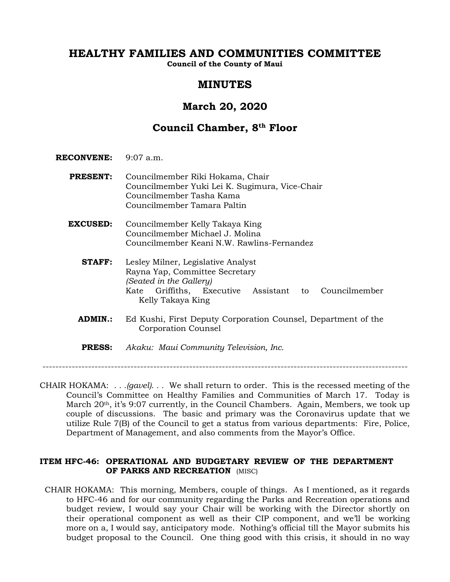# **HEALTHY FAMILIES AND COMMUNITIES COMMITTEE**

**Council of the County of Maui**

# **MINUTES**

# **March 20, 2020**

# **Council Chamber, 8th Floor**

- **RECONVENE:** 9:07 a.m.
	- **PRESENT:** Councilmember Riki Hokama, Chair Councilmember Yuki Lei K. Sugimura, Vice-Chair Councilmember Tasha Kama Councilmember Tamara Paltin
	- **EXCUSED:** Councilmember Kelly Takaya King Councilmember Michael J. Molina Councilmember Keani N.W. Rawlins-Fernandez
		- **STAFF:** Lesley Milner, Legislative Analyst Rayna Yap, Committee Secretary *(Seated in the Gallery)* Kate Griffiths, Executive Assistant to Councilmember Kelly Takaya King
		- **ADMIN.:** Ed Kushi, First Deputy Corporation Counsel, Department of the Corporation Counsel
		- **PRESS:** *Akaku: Maui Community Television, Inc.*

----------------------------------------------------------------------------------------------------------------

CHAIR HOKAMA: *. . .(gavel). . .* We shall return to order. This is the recessed meeting of the Council's Committee on Healthy Families and Communities of March 17. Today is March 20<sup>th</sup>, it's 9:07 currently, in the Council Chambers. Again, Members, we took up couple of discussions. The basic and primary was the Coronavirus update that we utilize Rule 7(B) of the Council to get a status from various departments: Fire, Police, Department of Management, and also comments from the Mayor's Office.

# **ITEM HFC-46: OPERATIONAL AND BUDGETARY REVIEW OF THE DEPARTMENT OF PARKS AND RECREATION** (MISC)

 CHAIR HOKAMA: This morning, Members, couple of things. As I mentioned, as it regards to HFC-46 and for our community regarding the Parks and Recreation operations and budget review, I would say your Chair will be working with the Director shortly on their operational component as well as their CIP component, and we'll be working more on a, I would say, anticipatory mode. Nothing's official till the Mayor submits his budget proposal to the Council. One thing good with this crisis, it should in no way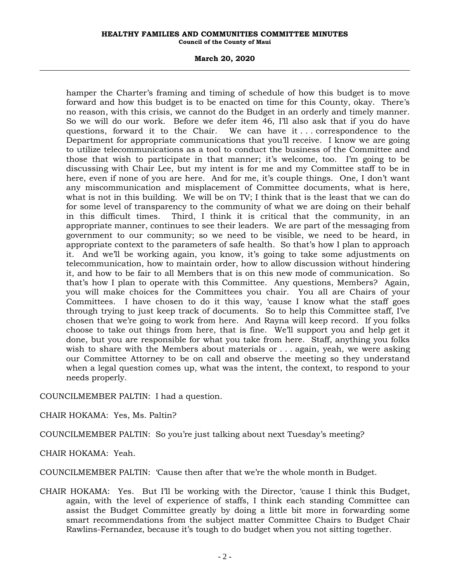#### **HEALTHY FAMILIES AND COMMUNITIES COMMITTEE MINUTES Council of the County of Maui**

#### **March 20, 2020**

hamper the Charter's framing and timing of schedule of how this budget is to move forward and how this budget is to be enacted on time for this County, okay. There's no reason, with this crisis, we cannot do the Budget in an orderly and timely manner. So we will do our work. Before we defer item 46, I'll also ask that if you do have questions, forward it to the Chair. We can have it  $\ldots$  correspondence to the Department for appropriate communications that you'll receive. I know we are going to utilize telecommunications as a tool to conduct the business of the Committee and those that wish to participate in that manner; it's welcome, too. I'm going to be discussing with Chair Lee, but my intent is for me and my Committee staff to be in here, even if none of you are here. And for me, it's couple things. One, I don't want any miscommunication and misplacement of Committee documents, what is here, what is not in this building. We will be on TV; I think that is the least that we can do for some level of transparency to the community of what we are doing on their behalf in this difficult times. Third, I think it is critical that the community, in an appropriate manner, continues to see their leaders. We are part of the messaging from government to our community; so we need to be visible, we need to be heard, in appropriate context to the parameters of safe health. So that's how I plan to approach it. And we'll be working again, you know, it's going to take some adjustments on telecommunication, how to maintain order, how to allow discussion without hindering it, and how to be fair to all Members that is on this new mode of communication. So that's how I plan to operate with this Committee. Any questions, Members? Again, you will make choices for the Committees you chair. You all are Chairs of your Committees. I have chosen to do it this way, 'cause I know what the staff goes through trying to just keep track of documents. So to help this Committee staff, I've chosen that we're going to work from here. And Rayna will keep record. If you folks choose to take out things from here, that is fine. We'll support you and help get it done, but you are responsible for what you take from here. Staff, anything you folks wish to share with the Members about materials or . . . again, yeah, we were asking our Committee Attorney to be on call and observe the meeting so they understand when a legal question comes up, what was the intent, the context, to respond to your needs properly.

COUNCILMEMBER PALTIN: I had a question.

CHAIR HOKAMA: Yes, Ms. Paltin?

COUNCILMEMBER PALTIN: So you're just talking about next Tuesday's meeting?

CHAIR HOKAMA: Yeah.

COUNCILMEMBER PALTIN: 'Cause then after that we're the whole month in Budget.

CHAIR HOKAMA: Yes. But I'll be working with the Director, 'cause I think this Budget, again, with the level of experience of staffs, I think each standing Committee can assist the Budget Committee greatly by doing a little bit more in forwarding some smart recommendations from the subject matter Committee Chairs to Budget Chair Rawlins-Fernandez, because it's tough to do budget when you not sitting together.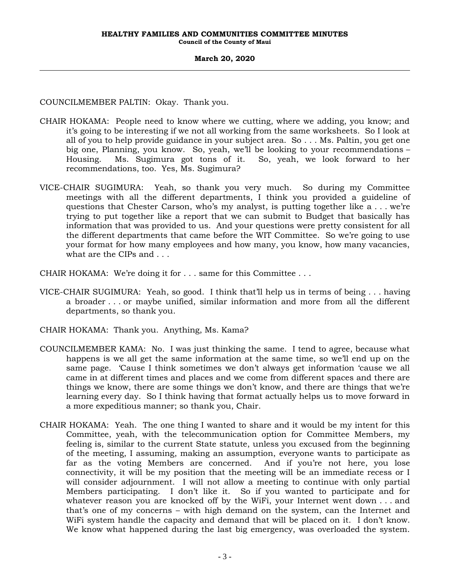COUNCILMEMBER PALTIN: Okay. Thank you.

- CHAIR HOKAMA: People need to know where we cutting, where we adding, you know; and it's going to be interesting if we not all working from the same worksheets. So I look at all of you to help provide guidance in your subject area. So . . . Ms. Paltin, you get one big one, Planning, you know. So, yeah, we'll be looking to your recommendations – Housing. Ms. Sugimura got tons of it. So, yeah, we look forward to her recommendations, too. Yes, Ms. Sugimura?
- VICE-CHAIR SUGIMURA: Yeah, so thank you very much. So during my Committee meetings with all the different departments, I think you provided a guideline of questions that Chester Carson, who's my analyst, is putting together like a . . . we're trying to put together like a report that we can submit to Budget that basically has information that was provided to us. And your questions were pretty consistent for all the different departments that came before the WIT Committee. So we're going to use your format for how many employees and how many, you know, how many vacancies, what are the CIPs and . . .
- CHAIR HOKAMA: We're doing it for . . . same for this Committee . . .
- VICE-CHAIR SUGIMURA: Yeah, so good. I think that'll help us in terms of being . . . having a broader . . . or maybe unified, similar information and more from all the different departments, so thank you.
- CHAIR HOKAMA: Thank you. Anything, Ms. Kama?
- COUNCILMEMBER KAMA: No. I was just thinking the same. I tend to agree, because what happens is we all get the same information at the same time, so we'll end up on the same page. 'Cause I think sometimes we don't always get information 'cause we all came in at different times and places and we come from different spaces and there are things we know, there are some things we don't know, and there are things that we're learning every day. So I think having that format actually helps us to move forward in a more expeditious manner; so thank you, Chair.
- CHAIR HOKAMA: Yeah. The one thing I wanted to share and it would be my intent for this Committee, yeah, with the telecommunication option for Committee Members, my feeling is, similar to the current State statute, unless you excused from the beginning of the meeting, I assuming, making an assumption, everyone wants to participate as far as the voting Members are concerned. And if you're not here, you lose connectivity, it will be my position that the meeting will be an immediate recess or I will consider adjournment. I will not allow a meeting to continue with only partial Members participating. I don't like it. So if you wanted to participate and for whatever reason you are knocked off by the WiFi, your Internet went down . . . and that's one of my concerns – with high demand on the system, can the Internet and WiFi system handle the capacity and demand that will be placed on it. I don't know. We know what happened during the last big emergency, was overloaded the system.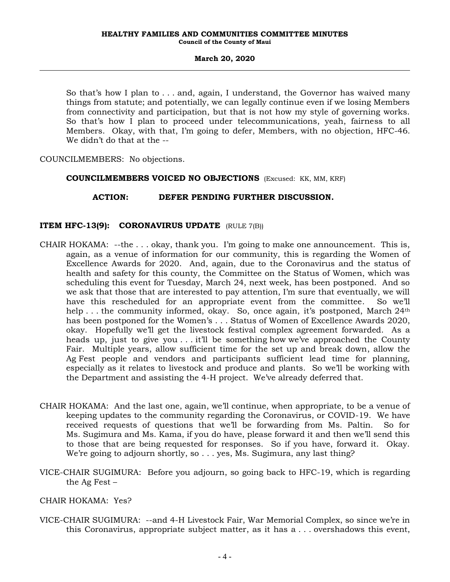So that's how I plan to . . . and, again, I understand, the Governor has waived many things from statute; and potentially, we can legally continue even if we losing Members from connectivity and participation, but that is not how my style of governing works. So that's how I plan to proceed under telecommunications, yeah, fairness to all Members. Okay, with that, I'm going to defer, Members, with no objection, HFC-46. We didn't do that at the --

COUNCILMEMBERS: No objections.

## **COUNCILMEMBERS VOICED NO OBJECTIONS** (Excused: KK, MM, KRF)

## **ACTION: DEFER PENDING FURTHER DISCUSSION.**

## **ITEM HFC-13(9): CORONAVIRUS UPDATE** (RULE 7(B))

- CHAIR HOKAMA: --the . . . okay, thank you. I'm going to make one announcement. This is, again, as a venue of information for our community, this is regarding the Women of Excellence Awards for 2020. And, again, due to the Coronavirus and the status of health and safety for this county, the Committee on the Status of Women, which was scheduling this event for Tuesday, March 24, next week, has been postponed. And so we ask that those that are interested to pay attention, I'm sure that eventually, we will have this rescheduled for an appropriate event from the committee. So we'll help ... the community informed, okay. So, once again, it's postponed, March 24<sup>th</sup> has been postponed for the Women's . . . Status of Women of Excellence Awards 2020, okay. Hopefully we'll get the livestock festival complex agreement forwarded. As a heads up, just to give you . . . it'll be something how we've approached the County Fair. Multiple years, allow sufficient time for the set up and break down, allow the Ag Fest people and vendors and participants sufficient lead time for planning, especially as it relates to livestock and produce and plants. So we'll be working with the Department and assisting the 4-H project. We've already deferred that.
- CHAIR HOKAMA: And the last one, again, we'll continue, when appropriate, to be a venue of keeping updates to the community regarding the Coronavirus, or COVID-19. We have received requests of questions that we'll be forwarding from Ms. Paltin. So for Ms. Sugimura and Ms. Kama, if you do have, please forward it and then we'll send this to those that are being requested for responses. So if you have, forward it. Okay. We're going to adjourn shortly, so . . . yes, Ms. Sugimura, any last thing?
- VICE-CHAIR SUGIMURA: Before you adjourn, so going back to HFC-19, which is regarding the Ag Fest –

## CHAIR HOKAMA: Yes?

VICE-CHAIR SUGIMURA: --and 4-H Livestock Fair, War Memorial Complex, so since we're in this Coronavirus, appropriate subject matter, as it has a . . . overshadows this event,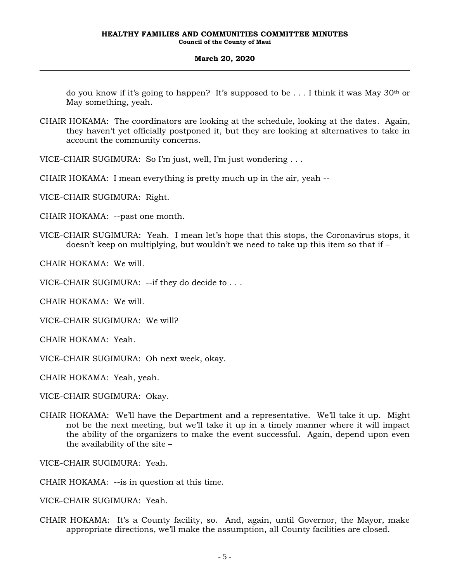do you know if it's going to happen? It's supposed to be ... I think it was May  $30<sup>th</sup>$  or May something, yeah.

CHAIR HOKAMA: The coordinators are looking at the schedule, looking at the dates. Again, they haven't yet officially postponed it, but they are looking at alternatives to take in account the community concerns.

VICE-CHAIR SUGIMURA: So I'm just, well, I'm just wondering . . .

CHAIR HOKAMA: I mean everything is pretty much up in the air, yeah --

VICE-CHAIR SUGIMURA: Right.

CHAIR HOKAMA: --past one month.

VICE-CHAIR SUGIMURA: Yeah. I mean let's hope that this stops, the Coronavirus stops, it doesn't keep on multiplying, but wouldn't we need to take up this item so that if –

CHAIR HOKAMA: We will.

VICE-CHAIR SUGIMURA: --if they do decide to . . .

CHAIR HOKAMA: We will.

VICE-CHAIR SUGIMURA: We will?

CHAIR HOKAMA: Yeah.

VICE-CHAIR SUGIMURA: Oh next week, okay.

CHAIR HOKAMA: Yeah, yeah.

VICE-CHAIR SUGIMURA: Okay.

CHAIR HOKAMA: We'll have the Department and a representative. We'll take it up. Might not be the next meeting, but we'll take it up in a timely manner where it will impact the ability of the organizers to make the event successful. Again, depend upon even the availability of the site –

VICE-CHAIR SUGIMURA: Yeah.

CHAIR HOKAMA: --is in question at this time.

VICE-CHAIR SUGIMURA: Yeah.

CHAIR HOKAMA: It's a County facility, so. And, again, until Governor, the Mayor, make appropriate directions, we'll make the assumption, all County facilities are closed.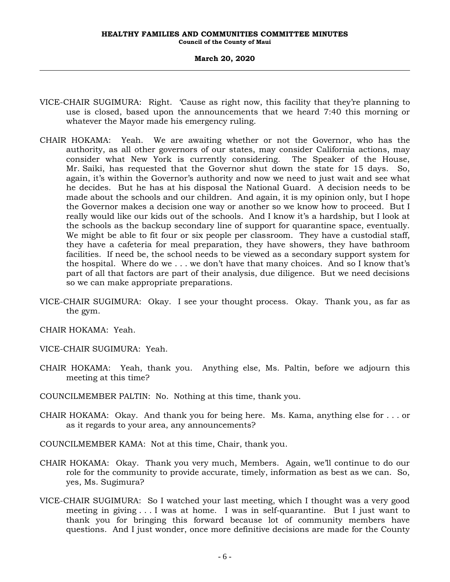#### **HEALTHY FAMILIES AND COMMUNITIES COMMITTEE MINUTES Council of the County of Maui**

#### **March 20, 2020**

- VICE-CHAIR SUGIMURA: Right. 'Cause as right now, this facility that they're planning to use is closed, based upon the announcements that we heard 7:40 this morning or whatever the Mayor made his emergency ruling.
- CHAIR HOKAMA: Yeah. We are awaiting whether or not the Governor, who has the authority, as all other governors of our states, may consider California actions, may consider what New York is currently considering. The Speaker of the House, Mr. Saiki, has requested that the Governor shut down the state for 15 days. So, again, it's within the Governor's authority and now we need to just wait and see what he decides. But he has at his disposal the National Guard. A decision needs to be made about the schools and our children. And again, it is my opinion only, but I hope the Governor makes a decision one way or another so we know how to proceed. But I really would like our kids out of the schools. And I know it's a hardship, but I look at the schools as the backup secondary line of support for quarantine space, eventually. We might be able to fit four or six people per classroom. They have a custodial staff, they have a cafeteria for meal preparation, they have showers, they have bathroom facilities. If need be, the school needs to be viewed as a secondary support system for the hospital. Where do we . . . we don't have that many choices. And so I know that's part of all that factors are part of their analysis, due diligence. But we need decisions so we can make appropriate preparations.
- VICE-CHAIR SUGIMURA: Okay. I see your thought process. Okay. Thank you, as far as the gym.

CHAIR HOKAMA: Yeah.

VICE-CHAIR SUGIMURA: Yeah.

CHAIR HOKAMA: Yeah, thank you. Anything else, Ms. Paltin, before we adjourn this meeting at this time?

COUNCILMEMBER PALTIN: No. Nothing at this time, thank you.

- CHAIR HOKAMA: Okay. And thank you for being here. Ms. Kama, anything else for . . . or as it regards to your area, any announcements?
- COUNCILMEMBER KAMA: Not at this time, Chair, thank you.
- CHAIR HOKAMA: Okay. Thank you very much, Members. Again, we'll continue to do our role for the community to provide accurate, timely, information as best as we can. So, yes, Ms. Sugimura?
- VICE-CHAIR SUGIMURA: So I watched your last meeting, which I thought was a very good meeting in giving . . . I was at home. I was in self-quarantine. But I just want to thank you for bringing this forward because lot of community members have questions. And I just wonder, once more definitive decisions are made for the County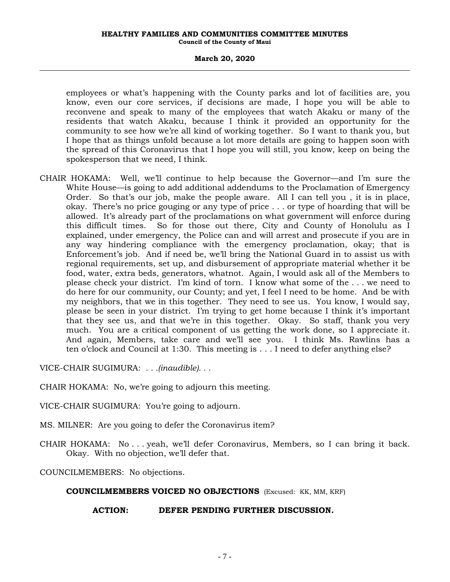#### **HEALTHY FAMILIES AND COMMUNITIES COMMITTEE MINUTES Council of the County of Maui**

### **March 20, 2020**

employees or what's happening with the County parks and lot of facilities are, you know, even our core services, if decisions are made, I hope you will be able to reconvene and speak to many of the employees that watch Akaku or many of the residents that watch Akaku, because I think it provided an opportunity for the community to see how we're all kind of working together. So I want to thank you, but I hope that as things unfold because a lot more details are going to happen soon with the spread of this Coronavirus that I hope you will still, you know, keep on being the spokesperson that we need, I think.

CHAIR HOKAMA: Well, we'll continue to help because the Governor—and I'm sure the White House—is going to add additional addendums to the Proclamation of Emergency Order. So that's our job, make the people aware. All I can tell you , it is in place, okay. There's no price gouging or any type of price . . . or type of hoarding that will be allowed. It's already part of the proclamations on what government will enforce during this difficult times. So for those out there, City and County of Honolulu as I explained, under emergency, the Police can and will arrest and prosecute if you are in any way hindering compliance with the emergency proclamation, okay; that is Enforcement's job. And if need be, we'll bring the National Guard in to assist us with regional requirements, set up, and disbursement of appropriate material whether it be food, water, extra beds, generators, whatnot. Again, I would ask all of the Members to please check your district. I'm kind of torn. I know what some of the . . . we need to do here for our community, our County; and yet, I feel I need to be home. And be with my neighbors, that we in this together. They need to see us. You know, I would say, please be seen in your district. I'm trying to get home because I think it's important that they see us, and that we're in this together. Okay. So staff, thank you very much. You are a critical component of us getting the work done, so I appreciate it. And again, Members, take care and we'll see you. I think Ms. Rawlins has a ten o'clock and Council at 1:30. This meeting is . . . I need to defer anything else?

VICE-CHAIR SUGIMURA: *. . .(inaudible). . .*

CHAIR HOKAMA: No, we're going to adjourn this meeting.

VICE-CHAIR SUGIMURA: You're going to adjourn.

MS. MILNER: Are you going to defer the Coronavirus item?

CHAIR HOKAMA: No . . . yeah, we'll defer Coronavirus, Members, so I can bring it back. Okay. With no objection, we'll defer that.

COUNCILMEMBERS: No objections.

#### **COUNCILMEMBERS VOICED NO OBJECTIONS** (Excused: KK, MM, KRF)

#### **ACTION: DEFER PENDING FURTHER DISCUSSION.**